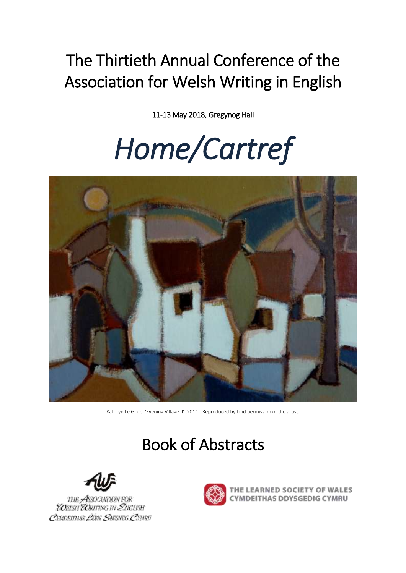# The Thirtieth Annual Conference of the Association for Welsh Writing in English

11-13 May 2018, Gregynog Hall

# *Home/Cartref*



Kathryn Le Grice, 'Evening Village II' (2011). Reproduced by kind permission of the artist.

# Book of Abstracts



THE ASSOCIATION FOR<br>**ZO**ELSH **ZO**RITING IN *Z*NGLISH CYMDEITHAS LIEN SAESNEG CYMRU



**EARNED SOCIETY OF WALES** YMDEITHAS DDYSGEDIG CYMRU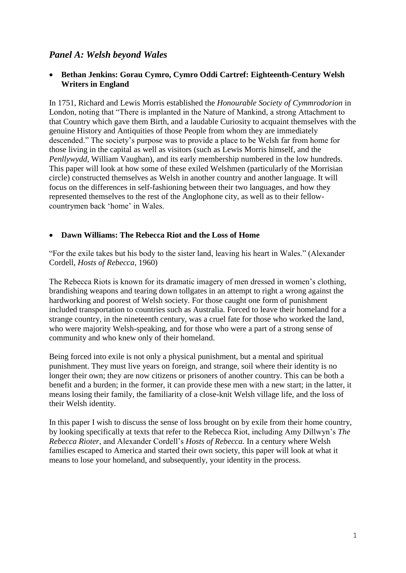# *Panel A: Welsh beyond Wales*

#### **Bethan Jenkins: Gorau Cymro, Cymro Oddi Cartref: Eighteenth-Century Welsh Writers in England**

In 1751, Richard and Lewis Morris established the *Honourable Society of Cymmrodorion* in London, noting that "There is implanted in the Nature of Mankind, a strong Attachment to that Country which gave them Birth, and a laudable Curiosity to acquaint themselves with the genuine History and Antiquities of those People from whom they are immediately descended." The society's purpose was to provide a place to be Welsh far from home for those living in the capital as well as visitors (such as Lewis Morris himself, and the *Penllywydd*, William Vaughan), and its early membership numbered in the low hundreds. This paper will look at how some of these exiled Welshmen (particularly of the Morrisian circle) constructed themselves as Welsh in another country and another language. It will focus on the differences in self-fashioning between their two languages, and how they represented themselves to the rest of the Anglophone city, as well as to their fellowcountrymen back 'home' in Wales.

#### **Dawn Williams: The Rebecca Riot and the Loss of Home**

"For the exile takes but his body to the sister land, leaving his heart in Wales." (Alexander Cordell, *Hosts of Rebecca*, 1960)

The Rebecca Riots is known for its dramatic imagery of men dressed in women's clothing, brandishing weapons and tearing down tollgates in an attempt to right a wrong against the hardworking and poorest of Welsh society. For those caught one form of punishment included transportation to countries such as Australia. Forced to leave their homeland for a strange country, in the nineteenth century, was a cruel fate for those who worked the land, who were majority Welsh-speaking, and for those who were a part of a strong sense of community and who knew only of their homeland.

Being forced into exile is not only a physical punishment, but a mental and spiritual punishment. They must live years on foreign, and strange, soil where their identity is no longer their own; they are now citizens or prisoners of another country. This can be both a benefit and a burden; in the former, it can provide these men with a new start; in the latter, it means losing their family, the familiarity of a close-knit Welsh village life, and the loss of their Welsh identity.

In this paper I wish to discuss the sense of loss brought on by exile from their home country, by looking specifically at texts that refer to the Rebecca Riot, including Amy Dillwyn's *The Rebecca Rioter*, and Alexander Cordell's *Hosts of Rebecca.* In a century where Welsh families escaped to America and started their own society, this paper will look at what it means to lose your homeland, and subsequently, your identity in the process.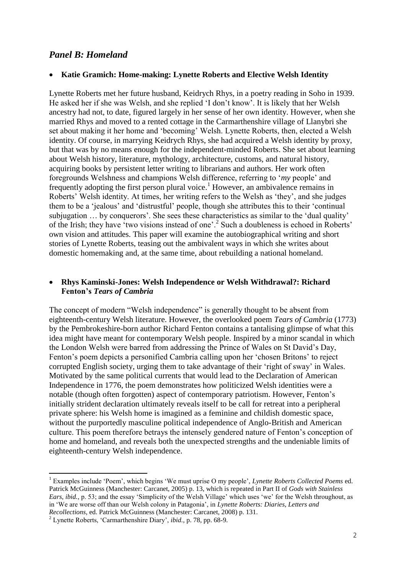#### *Panel B: Homeland*

#### **Katie Gramich: Home-making: Lynette Roberts and Elective Welsh Identity**

Lynette Roberts met her future husband, Keidrych Rhys, in a poetry reading in Soho in 1939. He asked her if she was Welsh, and she replied 'I don't know'. It is likely that her Welsh ancestry had not, to date, figured largely in her sense of her own identity. However, when she married Rhys and moved to a rented cottage in the Carmarthenshire village of Llanybri she set about making it her home and 'becoming' Welsh. Lynette Roberts, then, elected a Welsh identity. Of course, in marrying Keidrych Rhys, she had acquired a Welsh identity by proxy, but that was by no means enough for the independent-minded Roberts. She set about learning about Welsh history, literature, mythology, architecture, customs, and natural history, acquiring books by persistent letter writing to librarians and authors. Her work often foregrounds Welshness and champions Welsh difference, referring to '*my* people' and frequently adopting the first person plural voice.<sup>1</sup> However, an ambivalence remains in Roberts' Welsh identity. At times, her writing refers to the Welsh as 'they', and she judges them to be a 'jealous' and 'distrustful' people, though she attributes this to their 'continual subjugation … by conquerors'. She sees these characteristics as similar to the 'dual quality' of the Irish; they have 'two visions instead of one'.<sup>2</sup> Such a doubleness is echoed in Roberts' own vision and attitudes. This paper will examine the autobiographical writing and short stories of Lynette Roberts, teasing out the ambivalent ways in which she writes about domestic homemaking and, at the same time, about rebuilding a national homeland.

#### **Rhys Kaminski-Jones: Welsh Independence or Welsh Withdrawal?: Richard Fenton's** *Tears of Cambria*

The concept of modern "Welsh independence" is generally thought to be absent from eighteenth-century Welsh literature. However, the overlooked poem *Tears of Cambria* (1773) by the Pembrokeshire-born author Richard Fenton contains a tantalising glimpse of what this idea might have meant for contemporary Welsh people. Inspired by a minor scandal in which the London Welsh were barred from addressing the Prince of Wales on St David's Day, Fenton's poem depicts a personified Cambria calling upon her 'chosen Britons' to reject corrupted English society, urging them to take advantage of their 'right of sway' in Wales. Motivated by the same political currents that would lead to the Declaration of American Independence in 1776, the poem demonstrates how politicized Welsh identities were a notable (though often forgotten) aspect of contemporary patriotism. However, Fenton's initially strident declaration ultimately reveals itself to be call for retreat into a peripheral private sphere: his Welsh home is imagined as a feminine and childish domestic space, without the purportedly masculine political independence of Anglo-British and American culture. This poem therefore betrays the intensely gendered nature of Fenton's conception of home and homeland, and reveals both the unexpected strengths and the undeniable limits of eighteenth-century Welsh independence.

1

<sup>1</sup> Examples include 'Poem', which begins 'We must uprise O my people', *Lynette Roberts Collected Poems* ed. Patrick McGuinness (Manchester: Carcanet, 2005) p. 13, which is repeated in Part II of *Gods with Stainless Ears*, *ibid.,* p. 53; and the essay 'Simplicity of the Welsh Village' which uses 'we' for the Welsh throughout, as in 'We are worse off than our Welsh colony in Patagonia', in *Lynette Roberts: Diaries, Letters and Recollections*, ed. Patrick McGuinness (Manchester: Carcanet, 2008) p. 131.

<sup>2</sup> Lynette Roberts, 'Carmarthenshire Diary', *ibid.,* p. 78, pp. 68-9.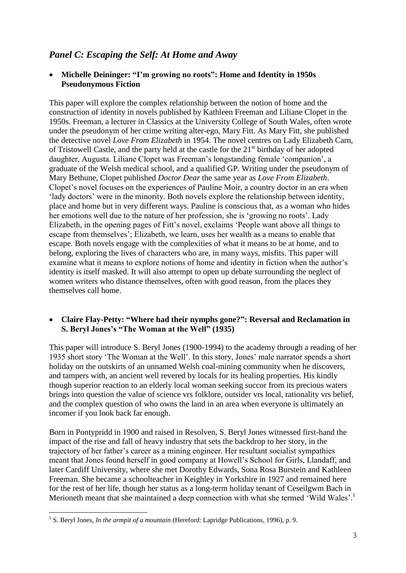# *Panel C: Escaping the Self: At Home and Away*

#### **Michelle Deininger: "I'm growing no roots": Home and Identity in 1950s Pseudonymous Fiction**

This paper will explore the complex relationship between the notion of home and the construction of identity in novels published by Kathleen Freeman and Liliane Clopet in the 1950s. Freeman, a lecturer in Classics at the University College of South Wales, often wrote under the pseudonym of her crime writing alter-ego, Mary Fitt. As Mary Fitt, she published the detective novel *Love From Elizabeth* in 1954. The novel centres on Lady Elizabeth Carn, of Tristowell Castle, and the party held at the castle for the  $21<sup>st</sup>$  birthday of her adopted daughter, Augusta. Liliane Clopet was Freeman's longstanding female 'companion', a graduate of the Welsh medical school, and a qualified GP. Writing under the pseudonym of Mary Bethune, Clopet published *Doctor Dear* the same year as *Love From Elizabeth*. Clopet's novel focuses on the experiences of Pauline Moir, a country doctor in an era when 'lady doctors' were in the minority. Both novels explore the relationship between identity, place and home but in very different ways. Pauline is conscious that, as a woman who hides her emotions well due to the nature of her profession, she is 'growing no roots'. Lady Elizabeth, in the opening pages of Fitt's novel, exclaims 'People want above all things to escape from themselves'; Elizabeth, we learn, uses her wealth as a means to enable that escape. Both novels engage with the complexities of what it means to be at home, and to belong, exploring the lives of characters who are, in many ways, misfits. This paper will examine what it means to explore notions of home and identity in fiction when the author's identity is itself masked. It will also attempt to open up debate surrounding the neglect of women writers who distance themselves, often with good reason, from the places they themselves call home.

#### **Claire Flay-Petty: "Where had their nymphs gone?": Reversal and Reclamation in S. Beryl Jones's "The Woman at the Well" (1935)**

This paper will introduce S. Beryl Jones (1900-1994) to the academy through a reading of her 1935 short story 'The Woman at the Well'. In this story, Jones' male narrator spends a short holiday on the outskirts of an unnamed Welsh coal-mining community when he discovers, and tampers with, an ancient well revered by locals for its healing properties. His kindly though superior reaction to an elderly local woman seeking succor from its precious waters brings into question the value of science vrs folklore, outsider vrs local, rationality vrs belief, and the complex question of who owns the land in an area when everyone is ultimately an incomer if you look back far enough.

Born in Pontypridd in 1900 and raised in Resolven, S. Beryl Jones witnessed first-hand the impact of the rise and fall of heavy industry that sets the backdrop to her story, in the trajectory of her father's career as a mining engineer. Her resultant socialist sympathies meant that Jones found herself in good company at Howell's School for Girls, Llandaff, and later Cardiff University, where she met Dorothy Edwards, Sona Rosa Burstein and Kathleen Freeman. She became a schoolteacher in Keighley in Yorkshire in 1927 and remained here for the rest of her life, though her status as a long-term holiday tenant of Ceseilgwm Bach in Merioneth meant that she maintained a deep connection with what she termed 'Wild Wales'.<sup>1</sup>

 1 S. Beryl Jones, *In the armpit of a mountain* (Hereford: Lapridge Publications, 1996), p. 9.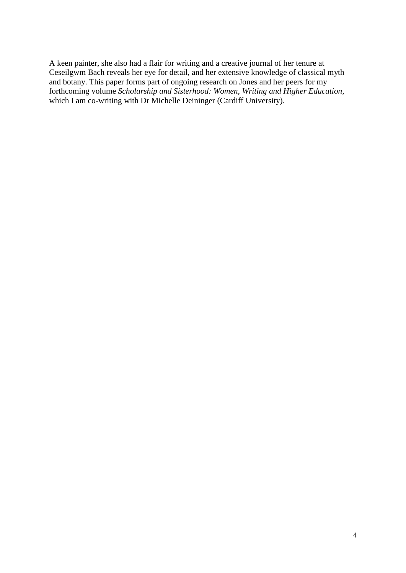A keen painter, she also had a flair for writing and a creative journal of her tenure at Ceseilgwm Bach reveals her eye for detail, and her extensive knowledge of classical myth and botany. This paper forms part of ongoing research on Jones and her peers for my forthcoming volume *Scholarship and Sisterhood: Women, Writing and Higher Education*, which I am co-writing with Dr Michelle Deininger (Cardiff University).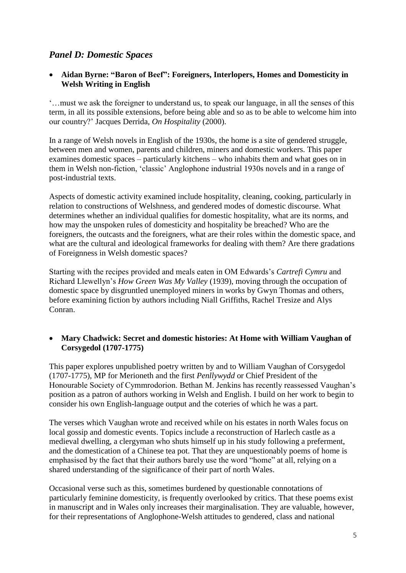# *Panel D: Domestic Spaces*

#### **Aidan Byrne: "Baron of Beef": Foreigners, Interlopers, Homes and Domesticity in Welsh Writing in English**

'…must we ask the foreigner to understand us, to speak our language, in all the senses of this term, in all its possible extensions, before being able and so as to be able to welcome him into our country?' Jacques Derrida, *On Hospitality* (2000).

In a range of Welsh novels in English of the 1930s, the home is a site of gendered struggle, between men and women, parents and children, miners and domestic workers. This paper examines domestic spaces – particularly kitchens – who inhabits them and what goes on in them in Welsh non-fiction, 'classic' Anglophone industrial 1930s novels and in a range of post-industrial texts.

Aspects of domestic activity examined include hospitality, cleaning, cooking, particularly in relation to constructions of Welshness, and gendered modes of domestic discourse. What determines whether an individual qualifies for domestic hospitality, what are its norms, and how may the unspoken rules of domesticity and hospitality be breached? Who are the foreigners, the outcasts and the foreigners, what are their roles within the domestic space, and what are the cultural and ideological frameworks for dealing with them? Are there gradations of Foreignness in Welsh domestic spaces?

Starting with the recipes provided and meals eaten in OM Edwards's *Cartrefi Cymru* and Richard Llewellyn's *How Green Was My Valley* (1939), moving through the occupation of domestic space by disgruntled unemployed miners in works by Gwyn Thomas and others, before examining fiction by authors including Niall Griffiths, Rachel Tresize and Alys Conran.

#### **Mary Chadwick: Secret and domestic histories: At Home with William Vaughan of Corsygedol (1707-1775)**

This paper explores unpublished poetry written by and to William Vaughan of Corsygedol (1707-1775), MP for Merioneth and the first *Penllywydd* or Chief President of the Honourable Society of Cymmrodorion. Bethan M. Jenkins has recently reassessed Vaughan's position as a patron of authors working in Welsh and English. I build on her work to begin to consider his own English-language output and the coteries of which he was a part.

The verses which Vaughan wrote and received while on his estates in north Wales focus on local gossip and domestic events. Topics include a reconstruction of Harlech castle as a medieval dwelling, a clergyman who shuts himself up in his study following a preferment, and the domestication of a Chinese tea pot. That they are unquestionably poems of home is emphasised by the fact that their authors barely use the word "home" at all, relying on a shared understanding of the significance of their part of north Wales.

Occasional verse such as this, sometimes burdened by questionable connotations of particularly feminine domesticity, is frequently overlooked by critics. That these poems exist in manuscript and in Wales only increases their marginalisation. They are valuable, however, for their representations of Anglophone-Welsh attitudes to gendered, class and national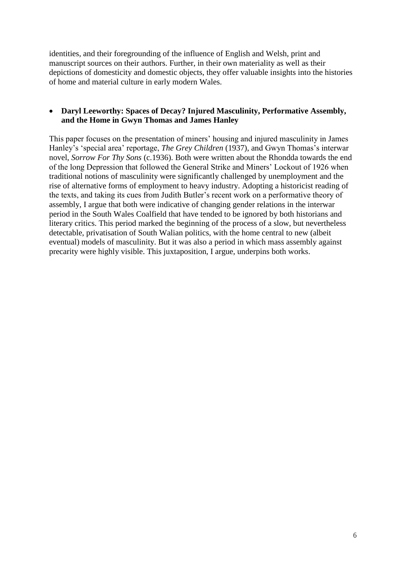identities, and their foregrounding of the influence of English and Welsh, print and manuscript sources on their authors. Further, in their own materiality as well as their depictions of domesticity and domestic objects, they offer valuable insights into the histories of home and material culture in early modern Wales.

#### **Daryl Leeworthy: Spaces of Decay? Injured Masculinity, Performative Assembly, and the Home in Gwyn Thomas and James Hanley**

This paper focuses on the presentation of miners' housing and injured masculinity in James Hanley's 'special area' reportage, *The Grey Children* (1937), and Gwyn Thomas's interwar novel, *Sorrow For Thy Sons* (c.1936). Both were written about the Rhondda towards the end of the long Depression that followed the General Strike and Miners' Lockout of 1926 when traditional notions of masculinity were significantly challenged by unemployment and the rise of alternative forms of employment to heavy industry. Adopting a historicist reading of the texts, and taking its cues from Judith Butler's recent work on a performative theory of assembly, I argue that both were indicative of changing gender relations in the interwar period in the South Wales Coalfield that have tended to be ignored by both historians and literary critics. This period marked the beginning of the process of a slow, but nevertheless detectable, privatisation of South Walian politics, with the home central to new (albeit eventual) models of masculinity. But it was also a period in which mass assembly against precarity were highly visible. This juxtaposition, I argue, underpins both works.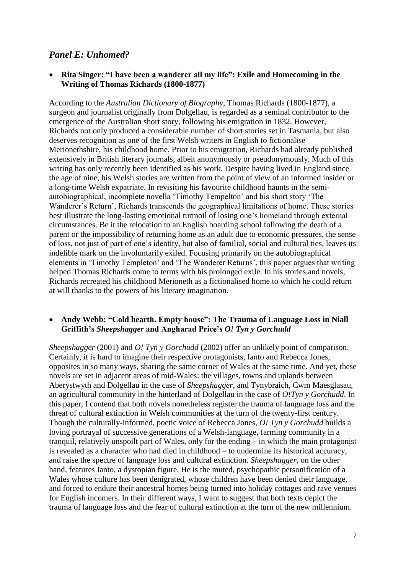## *Panel E: Unhomed?*

 **Rita Singer: "I have been a wanderer all my life": Exile and Homecoming in the Writing of Thomas Richards (1800-1877)**

According to the *Australian Dictionary of Biography*, Thomas Richards (1800-1877), a surgeon and journalist originally from Dolgellau, is regarded as a seminal contributor to the emergence of the Australian short story, following his emigration in 1832. However, Richards not only produced a considerable number of short stories set in Tasmania, but also deserves recognition as one of the first Welsh writers in English to fictionalise Merionethshire, his childhood home. Prior to his emigration, Richards had already published extensively in British literary journals, albeit anonymously or pseudonymously. Much of this writing has only recently been identified as his work. Despite having lived in England since the age of nine, his Welsh stories are written from the point of view of an informed insider or a long-time Welsh expatriate. In revisiting his favourite childhood haunts in the semiautobiographical, incomplete novella 'Timothy Tempelton' and his short story 'The Wanderer's Return', Richards transcends the geographical limitations of home. These stories best illustrate the long-lasting emotional turmoil of losing one's homeland through external circumstances. Be it the relocation to an English boarding school following the death of a parent or the impossibility of returning home as an adult due to economic pressures, the sense of loss, not just of part of one's identity, but also of familial, social and cultural ties, leaves its indelible mark on the involuntarily exiled. Focusing primarily on the autobiographical elements in 'Timothy Templeton' and 'The Wanderer Returns', this paper argues that writing helped Thomas Richards come to terms with his prolonged exile. In his stories and novels, Richards recreated his childhood Merioneth as a fictionalised home to which he could return at will thanks to the powers of his literary imagination.

#### **Andy Webb: "Cold hearth. Empty house": The Trauma of Language Loss in Niall Griffith's** *Sheepshagger* **and Angharad Price's** *O! Tyn y Gorchudd*

*Sheepshagger* (2001) and *O! Tyn y Gorchudd* (2002) offer an unlikely point of comparison. Certainly, it is hard to imagine their respective protagonists, Ianto and Rebecca Jones, opposites in so many ways, sharing the same corner of Wales at the same time. And yet, these novels are set in adjacent areas of mid-Wales: the villages, towns and uplands between Aberystwyth and Dolgellau in the case of *Sheepshagger*, and Tynybraich, Cwm Maesglasau, an agricultural community in the hinterland of Dolgellau in the case of *O!Tyn y Gorchudd*. In this paper, I contend that both novels nonetheless register the trauma of language loss and the threat of cultural extinction in Welsh communities at the turn of the twenty-first century. Though the culturally-informed, poetic voice of Rebecca Jones, *O! Tyn y Gorchudd* builds a loving portrayal of successive generations of a Welsh-language, farming community in a tranquil, relatively unspoilt part of Wales, only for the ending – in which the main protagonist is revealed as a character who had died in childhood – to undermine its historical accuracy, and raise the spectre of language loss and cultural extinction. *Sheepshagger*, on the other hand, features Ianto, a dystopian figure. He is the muted, psychopathic personification of a Wales whose culture has been denigrated, whose children have been denied their language, and forced to endure their ancestral homes being turned into holiday cottages and rave venues for English incomers. In their different ways, I want to suggest that both texts depict the trauma of language loss and the fear of cultural extinction at the turn of the new millennium.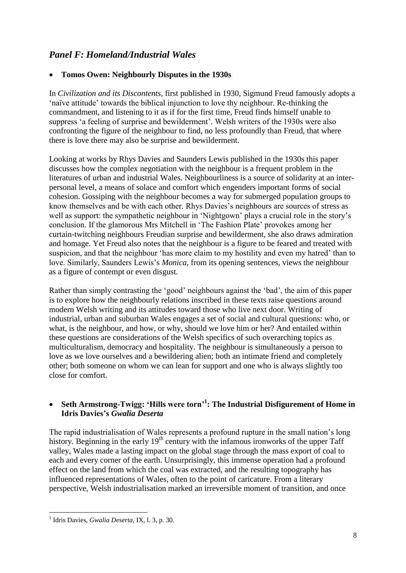# *Panel F: Homeland/Industrial Wales*

#### **Tomos Owen: Neighbourly Disputes in the 1930s**

In *Civilization and its Discontents*, first published in 1930, Sigmund Freud famously adopts a 'naïve attitude' towards the biblical injunction to love thy neighbour. Re-thinking the commandment, and listening to it as if for the first time, Freud finds himself unable to suppress 'a feeling of surprise and bewilderment'. Welsh writers of the 1930s were also confronting the figure of the neighbour to find, no less profoundly than Freud, that where there is love there may also be surprise and bewilderment.

Looking at works by Rhys Davies and Saunders Lewis published in the 1930s this paper discusses how the complex negotiation with the neighbour is a frequent problem in the literatures of urban and industrial Wales. Neighbourliness is a source of solidarity at an interpersonal level, a means of solace and comfort which engenders important forms of social cohesion. Gossiping with the neighbour becomes a way for submerged population groups to know themselves and be with each other. Rhys Davies's neighbours are sources of stress as well as support: the sympathetic neighbour in 'Nightgown' plays a crucial role in the story's conclusion. If the glamorous Mrs Mitchell in 'The Fashion Plate' provokes among her curtain-twitching neighbours Freudian surprise and bewilderment, she also draws admiration and homage. Yet Freud also notes that the neighbour is a figure to be feared and treated with suspicion, and that the neighbour 'has more claim to my hostility and even my hatred' than to love. Similarly, Saunders Lewis's *Monica*, from its opening sentences, views the neighbour as a figure of contempt or even disgust.

Rather than simply contrasting the 'good' neighbours against the 'bad', the aim of this paper is to explore how the neighbourly relations inscribed in these texts raise questions around modern Welsh writing and its attitudes toward those who live next door. Writing of industrial, urban and suburban Wales engages a set of social and cultural questions: who, or what, is the neighbour, and how, or why, should we love him or her? And entailed within these questions are considerations of the Welsh specifics of such overarching topics as multiculturalism, democracy and hospitality. The neighbour is simultaneously a person to love as we love ourselves and a bewildering alien; both an intimate friend and completely other; both someone on whom we can lean for support and one who is always slightly too close for comfort.

#### **Seth Armstrong-Twigg: 'Hills were torn'<sup>1</sup> : The Industrial Disfigurement of Home in Idris Davies's** *Gwalia Deserta*

The rapid industrialisation of Wales represents a profound rupture in the small nation's long history. Beginning in the early  $19<sup>th</sup>$  century with the infamous ironworks of the upper Taff valley, Wales made a lasting impact on the global stage through the mass export of coal to each and every corner of the earth. Unsurprisingly, this immense operation had a profound effect on the land from which the coal was extracted, and the resulting topography has influenced representations of Wales, often to the point of caricature. From a literary perspective, Welsh industrialisation marked an irreversible moment of transition, and once

**<sup>.</sup>** 1 Idris Davies, *Gwalia Deserta*, IX, l. 3, p. 30.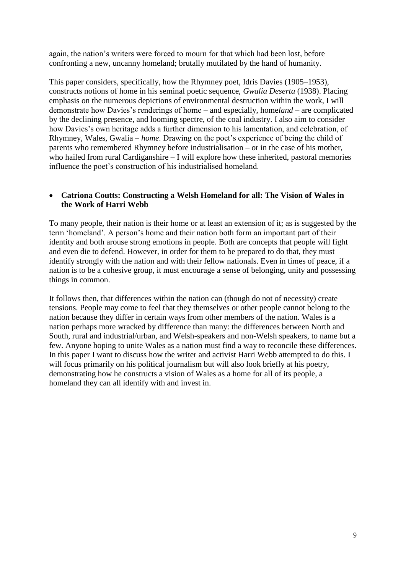again, the nation's writers were forced to mourn for that which had been lost, before confronting a new, uncanny homeland; brutally mutilated by the hand of humanity.

This paper considers, specifically, how the Rhymney poet, Idris Davies (1905–1953), constructs notions of home in his seminal poetic sequence, *Gwalia Deserta* (1938). Placing emphasis on the numerous depictions of environmental destruction within the work, I will demonstrate how Davies's renderings of home – and especially, home*land* – are complicated by the declining presence, and looming spectre, of the coal industry. I also aim to consider how Davies's own heritage adds a further dimension to his lamentation, and celebration, of Rhymney, Wales, Gwalia – *home*. Drawing on the poet's experience of being the child of parents who remembered Rhymney before industrialisation – or in the case of his mother, who hailed from rural Cardiganshire – I will explore how these inherited, pastoral memories influence the poet's construction of his industrialised homeland.

#### **Catriona Coutts: Constructing a Welsh Homeland for all: The Vision of Wales in the Work of Harri Webb**

To many people, their nation is their home or at least an extension of it; as is suggested by the term 'homeland'. A person's home and their nation both form an important part of their identity and both arouse strong emotions in people. Both are concepts that people will fight and even die to defend. However, in order for them to be prepared to do that, they must identify strongly with the nation and with their fellow nationals. Even in times of peace, if a nation is to be a cohesive group, it must encourage a sense of belonging, unity and possessing things in common.

It follows then, that differences within the nation can (though do not of necessity) create tensions. People may come to feel that they themselves or other people cannot belong to the nation because they differ in certain ways from other members of the nation. Wales is a nation perhaps more wracked by difference than many: the differences between North and South, rural and industrial/urban, and Welsh-speakers and non-Welsh speakers, to name but a few. Anyone hoping to unite Wales as a nation must find a way to reconcile these differences. In this paper I want to discuss how the writer and activist Harri Webb attempted to do this. I will focus primarily on his political journalism but will also look briefly at his poetry, demonstrating how he constructs a vision of Wales as a home for all of its people, a homeland they can all identify with and invest in.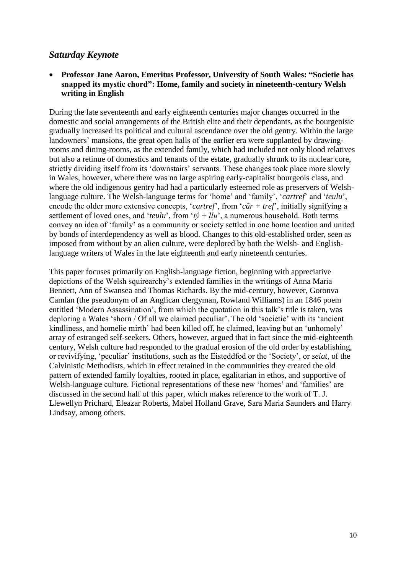### *Saturday Keynote*

#### **Professor Jane Aaron, Emeritus Professor, University of South Wales: "Societie has snapped its mystic chord": Home, family and society in nineteenth-century Welsh writing in English**

During the late seventeenth and early eighteenth centuries major changes occurred in the domestic and social arrangements of the British elite and their dependants, as the bourgeoisie gradually increased its political and cultural ascendance over the old gentry. Within the large landowners' mansions, the great open halls of the earlier era were supplanted by drawingrooms and dining-rooms, as the extended family, which had included not only blood relatives but also a retinue of domestics and tenants of the estate, gradually shrunk to its nuclear core, strictly dividing itself from its 'downstairs' servants. These changes took place more slowly in Wales, however, where there was no large aspiring early-capitalist bourgeois class, and where the old indigenous gentry had had a particularly esteemed role as preservers of Welshlanguage culture. The Welsh-language terms for 'home' and 'family', '*cartref*' and '*teulu*', encode the older more extensive concepts, '*cartref*', from '*câr + tref*', initially signifying a settlement of loved ones, and '*teulu*', from ' $t\hat{v}$  + *llu*', a numerous household. Both terms convey an idea of 'family' as a community or society settled in one home location and united by bonds of interdependency as well as blood. Changes to this old-established order, seen as imposed from without by an alien culture, were deplored by both the Welsh- and Englishlanguage writers of Wales in the late eighteenth and early nineteenth centuries.

This paper focuses primarily on English-language fiction, beginning with appreciative depictions of the Welsh squirearchy's extended families in the writings of Anna Maria Bennett, Ann of Swansea and Thomas Richards. By the mid-century, however, Goronva Camlan (the pseudonym of an Anglican clergyman, Rowland Williams) in an 1846 poem entitled 'Modern Assassination', from which the quotation in this talk's title is taken, was deploring a Wales 'shorn / Of all we claimed peculiar'. The old 'societie' with its 'ancient kindliness, and homelie mirth' had been killed off, he claimed, leaving but an 'unhomely' array of estranged self-seekers. Others, however, argued that in fact since the mid-eighteenth century, Welsh culture had responded to the gradual erosion of the old order by establishing, or revivifying, 'peculiar' institutions, such as the Eisteddfod or the 'Society', or *seiat*, of the Calvinistic Methodists, which in effect retained in the communities they created the old pattern of extended family loyalties, rooted in place, egalitarian in ethos, and supportive of Welsh-language culture. Fictional representations of these new 'homes' and 'families' are discussed in the second half of this paper, which makes reference to the work of T. J. Llewellyn Prichard, Eleazar Roberts, Mabel Holland Grave, Sara Maria Saunders and Harry Lindsay, among others.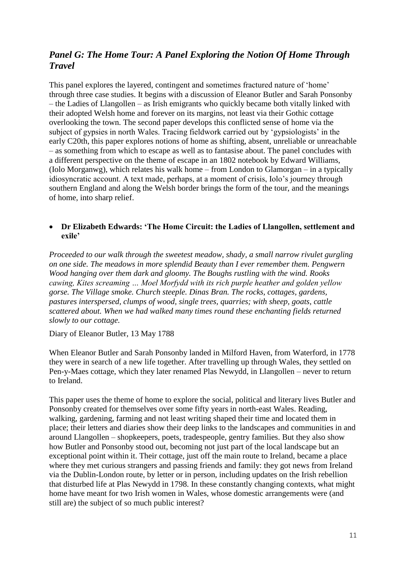# *Panel G: The Home Tour: A Panel Exploring the Notion Of Home Through Travel*

This panel explores the layered, contingent and sometimes fractured nature of 'home' through three case studies. It begins with a discussion of Eleanor Butler and Sarah Ponsonby – the Ladies of Llangollen – as Irish emigrants who quickly became both vitally linked with their adopted Welsh home and forever on its margins, not least via their Gothic cottage overlooking the town. The second paper develops this conflicted sense of home via the subject of gypsies in north Wales. Tracing fieldwork carried out by 'gypsiologists' in the early C20th, this paper explores notions of home as shifting, absent, unreliable or unreachable – as something from which to escape as well as to fantasise about. The panel concludes with a different perspective on the theme of escape in an 1802 notebook by Edward Williams, (Iolo Morganwg), which relates his walk home – from London to Glamorgan – in a typically idiosyncratic account. A text made, perhaps, at a moment of crisis, Iolo's journey through southern England and along the Welsh border brings the form of the tour, and the meanings of home, into sharp relief.

#### **Dr Elizabeth Edwards: 'The Home Circuit: the Ladies of Llangollen, settlement and exile'**

*Proceeded to our walk through the sweetest meadow, shady, a small narrow rivulet gurgling on one side. The meadows in more splendid Beauty than I ever remember them. Pengwern Wood hanging over them dark and gloomy. The Boughs rustling with the wind. Rooks cawing, Kites screaming … Moel Morfydd with its rich purple heather and golden yellow gorse. The Village smoke. Church steeple. Dinas Bran. The rocks, cottages, gardens, pastures interspersed, clumps of wood, single trees, quarries; with sheep, goats, cattle scattered about. When we had walked many times round these enchanting fields returned slowly to our cottage.*

Diary of Eleanor Butler, 13 May 1788

When Eleanor Butler and Sarah Ponsonby landed in Milford Haven, from Waterford, in 1778 they were in search of a new life together. After travelling up through Wales, they settled on Pen-y-Maes cottage, which they later renamed Plas Newydd, in Llangollen – never to return to Ireland.

This paper uses the theme of home to explore the social, political and literary lives Butler and Ponsonby created for themselves over some fifty years in north-east Wales. Reading, walking, gardening, farming and not least writing shaped their time and located them in place; their letters and diaries show their deep links to the landscapes and communities in and around Llangollen – shopkeepers, poets, tradespeople, gentry families. But they also show how Butler and Ponsonby stood out, becoming not just part of the local landscape but an exceptional point within it. Their cottage, just off the main route to Ireland, became a place where they met curious strangers and passing friends and family: they got news from Ireland via the Dublin-London route, by letter or in person, including updates on the Irish rebellion that disturbed life at Plas Newydd in 1798. In these constantly changing contexts, what might home have meant for two Irish women in Wales, whose domestic arrangements were (and still are) the subject of so much public interest?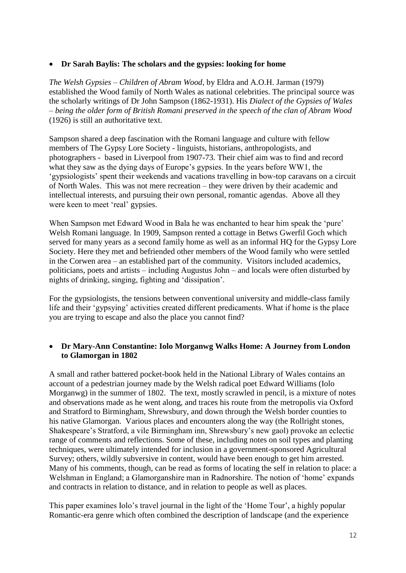#### **Dr Sarah Baylis: The scholars and the gypsies: looking for home**

*The Welsh Gypsies – Children of Abram Wood*, by Eldra and A.O.H. Jarman (1979) established the Wood family of North Wales as national celebrities. The principal source was the scholarly writings of Dr John Sampson (1862-1931). His *Dialect of the Gypsies of Wales – being the older form of British Romani preserved in the speech of the clan of Abram Wood* (1926) is still an authoritative text.

Sampson shared a deep fascination with the Romani language and culture with fellow members of The Gypsy Lore Society - linguists, historians, anthropologists, and photographers - based in Liverpool from 1907-73. Their chief aim was to find and record what they saw as the dying days of Europe's gypsies. In the years before WW1, the 'gypsiologists' spent their weekends and vacations travelling in bow-top caravans on a circuit of North Wales. This was not mere recreation – they were driven by their academic and intellectual interests, and pursuing their own personal, romantic agendas. Above all they were keen to meet 'real' gypsies.

When Sampson met Edward Wood in Bala he was enchanted to hear him speak the 'pure' Welsh Romani language. In 1909, Sampson rented a cottage in Betws Gwerfil Goch which served for many years as a second family home as well as an informal HQ for the Gypsy Lore Society. Here they met and befriended other members of the Wood family who were settled in the Corwen area – an established part of the community. Visitors included academics, politicians, poets and artists – including Augustus John – and locals were often disturbed by nights of drinking, singing, fighting and 'dissipation'.

For the gypsiologists, the tensions between conventional university and middle-class family life and their 'gypsying' activities created different predicaments. What if home is the place you are trying to escape and also the place you cannot find?

#### **Dr Mary-Ann Constantine: Iolo Morganwg Walks Home: A Journey from London to Glamorgan in 1802**

A small and rather battered pocket-book held in the National Library of Wales contains an account of a pedestrian journey made by the Welsh radical poet Edward Williams (Iolo Morganwg) in the summer of 1802. The text, mostly scrawled in pencil, is a mixture of notes and observations made as he went along, and traces his route from the metropolis via Oxford and Stratford to Birmingham, Shrewsbury, and down through the Welsh border counties to his native Glamorgan. Various places and encounters along the way (the Rollright stones, Shakespeare's Stratford, a vile Birmingham inn, Shrewsbury's new gaol) provoke an eclectic range of comments and reflections. Some of these, including notes on soil types and planting techniques, were ultimately intended for inclusion in a government-sponsored Agricultural Survey; others, wildly subversive in content, would have been enough to get him arrested. Many of his comments, though, can be read as forms of locating the self in relation to place: a Welshman in England; a Glamorganshire man in Radnorshire. The notion of 'home' expands and contracts in relation to distance, and in relation to people as well as places.

This paper examines Iolo's travel journal in the light of the 'Home Tour', a highly popular Romantic-era genre which often combined the description of landscape (and the experience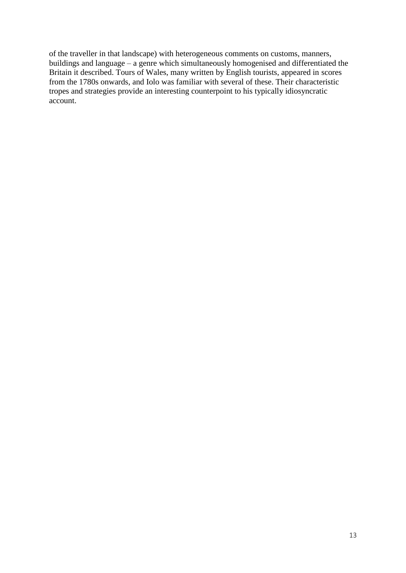of the traveller in that landscape) with heterogeneous comments on customs, manners, buildings and language – a genre which simultaneously homogenised and differentiated the Britain it described. Tours of Wales, many written by English tourists, appeared in scores from the 1780s onwards, and Iolo was familiar with several of these. Their characteristic tropes and strategies provide an interesting counterpoint to his typically idiosyncratic account.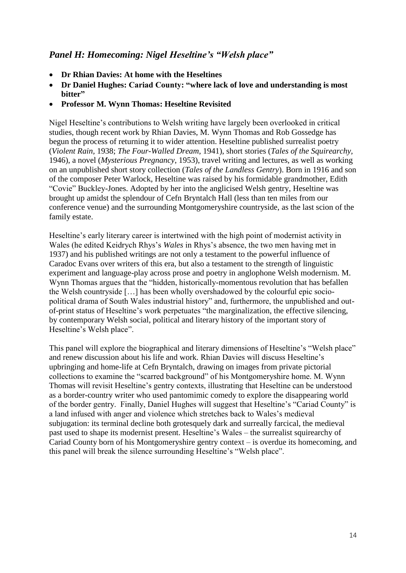# *Panel H: Homecoming: Nigel Heseltine's "Welsh place"*

- **Dr Rhian Davies: At home with the Heseltines**
- **Dr Daniel Hughes: Cariad County: "where lack of love and understanding is most bitter"**
- **Professor M. Wynn Thomas: Heseltine Revisited**

Nigel Heseltine's contributions to Welsh writing have largely been overlooked in critical studies, though recent work by Rhian Davies, M. Wynn Thomas and Rob Gossedge has begun the process of returning it to wider attention. Heseltine published surrealist poetry (*Violent Rain,* 1938; *The Four-Walled Dream*, 1941), short stories (*Tales of the Squirearchy,* 1946), a novel (*Mysterious Pregnancy*, 1953), travel writing and lectures, as well as working on an unpublished short story collection (*Tales of the Landless Gentry*). Born in 1916 and son of the composer Peter Warlock, Heseltine was raised by his formidable grandmother, Edith "Covie" Buckley-Jones. Adopted by her into the anglicised Welsh gentry, Heseltine was brought up amidst the splendour of Cefn Bryntalch Hall (less than ten miles from our conference venue) and the surrounding Montgomeryshire countryside, as the last scion of the family estate.

Heseltine's early literary career is intertwined with the high point of modernist activity in Wales (he edited Keidrych Rhys's *Wales* in Rhys's absence, the two men having met in 1937) and his published writings are not only a testament to the powerful influence of Caradoc Evans over writers of this era, but also a testament to the strength of linguistic experiment and language-play across prose and poetry in anglophone Welsh modernism. M. Wynn Thomas argues that the "hidden, historically-momentous revolution that has befallen the Welsh countryside […] has been wholly overshadowed by the colourful epic sociopolitical drama of South Wales industrial history" and, furthermore, the unpublished and outof-print status of Heseltine's work perpetuates "the marginalization, the effective silencing, by contemporary Welsh social, political and literary history of the important story of Heseltine's Welsh place".

This panel will explore the biographical and literary dimensions of Heseltine's "Welsh place" and renew discussion about his life and work. Rhian Davies will discuss Heseltine's upbringing and home-life at Cefn Bryntalch, drawing on images from private pictorial collections to examine the "scarred background" of his Montgomeryshire home. M. Wynn Thomas will revisit Heseltine's gentry contexts, illustrating that Heseltine can be understood as a border-country writer who used pantomimic comedy to explore the disappearing world of the border gentry. Finally, Daniel Hughes will suggest that Heseltine's "Cariad County" is a land infused with anger and violence which stretches back to Wales's medieval subjugation: its terminal decline both grotesquely dark and surreally farcical, the medieval past used to shape its modernist present. Heseltine's Wales – the surrealist squirearchy of Cariad County born of his Montgomeryshire gentry context – is overdue its homecoming, and this panel will break the silence surrounding Heseltine's "Welsh place".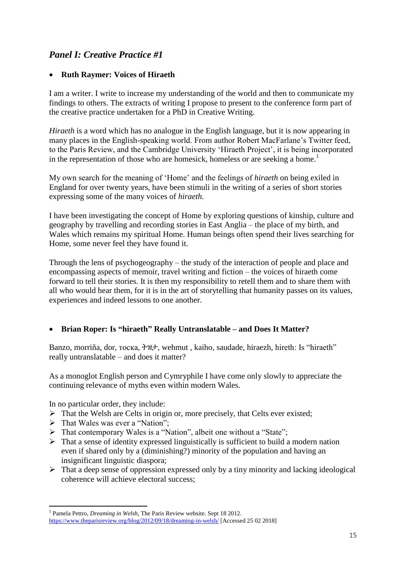# *Panel I: Creative Practice #1*

#### **Ruth Raymer: Voices of Hiraeth**

I am a writer. I write to increase my understanding of the world and then to communicate my findings to others. The extracts of writing I propose to present to the conference form part of the creative practice undertaken for a PhD in Creative Writing.

*Hiraeth* is a word which has no analogue in the English language, but it is now appearing in many places in the English-speaking world. From author Robert MacFarlane's Twitter feed, to the Paris Review, and the Cambridge University 'Hiraeth Project', it is being incorporated in the representation of those who are homesick, homeless or are seeking a home.<sup>1</sup>

My own search for the meaning of 'Home' and the feelings of *hiraeth* on being exiled in England for over twenty years, have been stimuli in the writing of a series of short stories expressing some of the many voices of *hiraeth*.

I have been investigating the concept of Home by exploring questions of kinship, culture and geography by travelling and recording stories in East Anglia – the place of my birth, and Wales which remains my spiritual Home. Human beings often spend their lives searching for Home, some never feel they have found it.

Through the lens of psychogeography – the study of the interaction of people and place and encompassing aspects of memoir, travel writing and fiction – the voices of hiraeth come forward to tell their stories. It is then my responsibility to retell them and to share them with all who would hear them, for it is in the art of storytelling that humanity passes on its values, experiences and indeed lessons to one another.

## **Brian Roper: Is "hiraeth" Really Untranslatable – and Does It Matter?**

Banzo, morriña, dor, тоска, ትዝታ, wehmut , kaiho, saudade, hiraezh, hireth: Is "hiraeth" really untranslatable – and does it matter?

As a monoglot English person and Cymryphile I have come only slowly to appreciate the continuing relevance of myths even within modern Wales.

In no particular order, they include:

- $\triangleright$  That the Welsh are Celts in origin or, more precisely, that Celts ever existed;
- $\triangleright$  That Wales was ever a "Nation";
- > That contemporary Wales is a "Nation", albeit one without a "State";
- $\triangleright$  That a sense of identity expressed linguistically is sufficient to build a modern nation even if shared only by a (diminishing?) minority of the population and having an insignificant linguistic diaspora;
- $\triangleright$  That a deep sense of oppression expressed only by a tiny minority and lacking ideological coherence will achieve electoral success;

**<sup>.</sup>** <sup>1</sup> Pamela Pettro, *Dreaming in Welsh*, The Paris Review website. Sept 18 2012. <https://www.theparisreview.org/blog/2012/09/18/dreaming-in-welsh/> [Accessed 25 02 2018]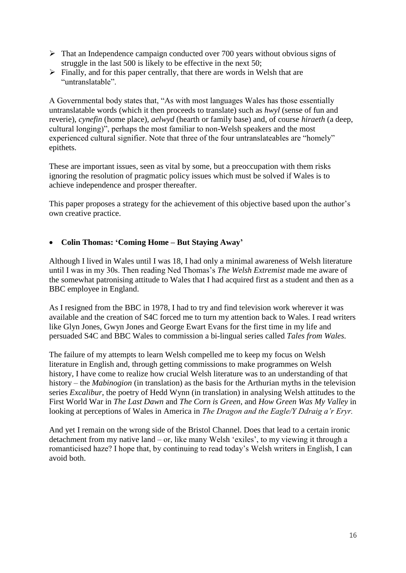- $\triangleright$  That an Independence campaign conducted over 700 years without obvious signs of struggle in the last 500 is likely to be effective in the next 50;
- $\triangleright$  Finally, and for this paper centrally, that there are words in Welsh that are "untranslatable".

A Governmental body states that, "As with most languages Wales has those essentially untranslatable words (which it then proceeds to translate) such as *hwyl* (sense of fun and reverie), *cynefin* (home place), *aelwyd* (hearth or family base) and, of course *hiraeth* (a deep, cultural longing)", perhaps the most familiar to non-Welsh speakers and the most experienced cultural signifier. Note that three of the four untranslateables are "homely" epithets.

These are important issues, seen as vital by some, but a preoccupation with them risks ignoring the resolution of pragmatic policy issues which must be solved if Wales is to achieve independence and prosper thereafter.

This paper proposes a strategy for the achievement of this objective based upon the author's own creative practice.

#### **Colin Thomas: 'Coming Home – But Staying Away'**

Although I lived in Wales until I was 18, I had only a minimal awareness of Welsh literature until I was in my 30s. Then reading Ned Thomas's *The Welsh Extremist* made me aware of the somewhat patronising attitude to Wales that I had acquired first as a student and then as a BBC employee in England.

As I resigned from the BBC in 1978, I had to try and find television work wherever it was available and the creation of S4C forced me to turn my attention back to Wales. I read writers like Glyn Jones, Gwyn Jones and George Ewart Evans for the first time in my life and persuaded S4C and BBC Wales to commission a bi-lingual series called *Tales from Wales.* 

The failure of my attempts to learn Welsh compelled me to keep my focus on Welsh literature in English and, through getting commissions to make programmes on Welsh history, I have come to realize how crucial Welsh literature was to an understanding of that history – the *Mabinogion* (in translation) as the basis for the Arthurian myths in the television series *Excalibur*, the poetry of Hedd Wynn (in translation) in analysing Welsh attitudes to the First World War in *The Last Dawn* and *The Corn is Green*, and *How Green Was My Valley* in looking at perceptions of Wales in America in *The Dragon and the Eagle/Y Ddraig a'r Eryr.*

And yet I remain on the wrong side of the Bristol Channel. Does that lead to a certain ironic detachment from my native land – or, like many Welsh 'exiles', to my viewing it through a romanticised haze? I hope that, by continuing to read today's Welsh writers in English, I can avoid both.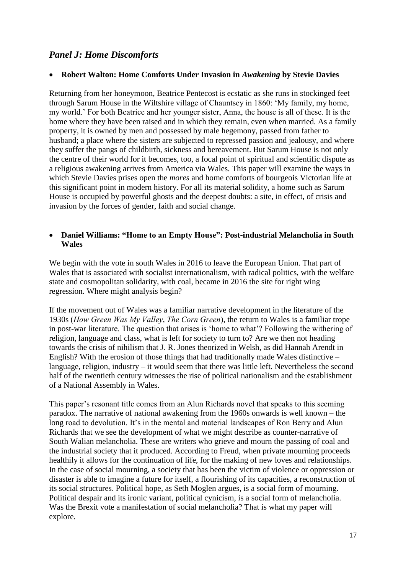# *Panel J: Home Discomforts*

#### **Robert Walton: Home Comforts Under Invasion in** *Awakening* **by Stevie Davies**

Returning from her honeymoon, Beatrice Pentecost is ecstatic as she runs in stockinged feet through Sarum House in the Wiltshire village of Chauntsey in 1860: 'My family, my home, my world.' For both Beatrice and her younger sister, Anna, the house is all of these. It is the home where they have been raised and in which they remain, even when married. As a family property, it is owned by men and possessed by male hegemony, passed from father to husband; a place where the sisters are subjected to repressed passion and jealousy, and where they suffer the pangs of childbirth, sickness and bereavement. But Sarum House is not only the centre of their world for it becomes, too, a focal point of spiritual and scientific dispute as a religious awakening arrives from America via Wales. This paper will examine the ways in which Stevie Davies prises open the *mores* and home comforts of bourgeois Victorian life at this significant point in modern history. For all its material solidity, a home such as Sarum House is occupied by powerful ghosts and the deepest doubts: a site, in effect, of crisis and invasion by the forces of gender, faith and social change.

#### **Daniel Williams: "Home to an Empty House": Post-industrial Melancholia in South Wales**

We begin with the vote in south Wales in 2016 to leave the European Union. That part of Wales that is associated with socialist internationalism, with radical politics, with the welfare state and cosmopolitan solidarity, with coal, became in 2016 the site for right wing regression. Where might analysis begin?

If the movement out of Wales was a familiar narrative development in the literature of the 1930s (*How Green Was My Valley*, *The Corn Green*), the return to Wales is a familiar trope in post-war literature. The question that arises is 'home to what'? Following the withering of religion, language and class, what is left for society to turn to? Are we then not heading towards the crisis of nihilism that J. R. Jones theorized in Welsh, as did Hannah Arendt in English? With the erosion of those things that had traditionally made Wales distinctive – language, religion, industry – it would seem that there was little left. Nevertheless the second half of the twentieth century witnesses the rise of political nationalism and the establishment of a National Assembly in Wales.

This paper's resonant title comes from an Alun Richards novel that speaks to this seeming paradox. The narrative of national awakening from the 1960s onwards is well known – the long road to devolution. It's in the mental and material landscapes of Ron Berry and Alun Richards that we see the development of what we might describe as counter-narrative of South Walian melancholia. These are writers who grieve and mourn the passing of coal and the industrial society that it produced. According to Freud, when private mourning proceeds healthily it allows for the continuation of life, for the making of new loves and relationships. In the case of social mourning, a society that has been the victim of violence or oppression or disaster is able to imagine a future for itself, a flourishing of its capacities, a reconstruction of its social structures. Political hope, as Seth Moglen argues, is a social form of mourning. Political despair and its ironic variant, political cynicism, is a social form of melancholia. Was the Brexit vote a manifestation of social melancholia? That is what my paper will explore.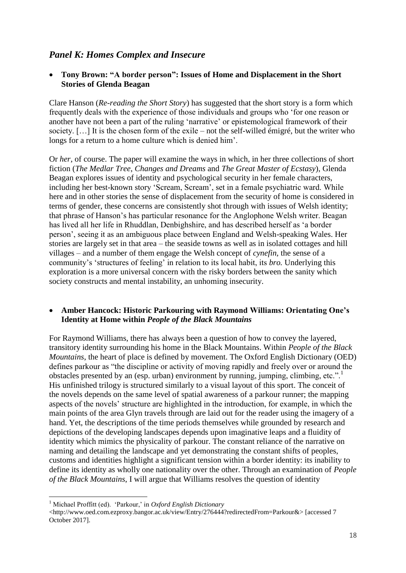# *Panel K: Homes Complex and Insecure*

#### **Tony Brown: "A border person": Issues of Home and Displacement in the Short Stories of Glenda Beagan**

Clare Hanson (*Re-reading the Short Story*) has suggested that the short story is a form which frequently deals with the experience of those individuals and groups who 'for one reason or another have not been a part of the ruling 'narrative' or epistemological framework of their society. […] It is the chosen form of the exile – not the self-willed émigré, but the writer who longs for a return to a home culture which is denied him'.

Or *her*, of course. The paper will examine the ways in which, in her three collections of short fiction (*The Medlar Tree*, *Changes and Dreams* and *The Great Master of Ecstasy*), Glenda Beagan explores issues of identity and psychological security in her female characters, including her best-known story 'Scream, Scream', set in a female psychiatric ward. While here and in other stories the sense of displacement from the security of home is considered in terms of gender, these concerns are consistently shot through with issues of Welsh identity; that phrase of Hanson's has particular resonance for the Anglophone Welsh writer. Beagan has lived all her life in Rhuddlan, Denbighshire, and has described herself as 'a border person', seeing it as an ambiguous place between England and Welsh-speaking Wales. Her stories are largely set in that area – the seaside towns as well as in isolated cottages and hill villages – and a number of them engage the Welsh concept of *cynefin,* the sense of a community's 'structures of feeling' in relation to its local habit, its *bro.* Underlying this exploration is a more universal concern with the risky borders between the sanity which society constructs and mental instability, an unhoming insecurity.

#### **Amber Hancock: Historic Parkouring with Raymond Williams: Orientating One's Identity at Home within** *People of the Black Mountains*

For Raymond Williams, there has always been a question of how to convey the layered, transitory identity surrounding his home in the Black Mountains. Within *People of the Black Mountains*, the heart of place is defined by movement. The Oxford English Dictionary (OED) defines parkour as "the discipline or activity of moving rapidly and freely over or around the obstacles presented by an (esp. urban) environment by running, jumping, climbing, etc.".<sup>1</sup> His unfinished trilogy is structured similarly to a visual layout of this sport. The conceit of the novels depends on the same level of spatial awareness of a parkour runner; the mapping aspects of the novels' structure are highlighted in the introduction, for example, in which the main points of the area Glyn travels through are laid out for the reader using the imagery of a hand. Yet, the descriptions of the time periods themselves while grounded by research and depictions of the developing landscapes depends upon imaginative leaps and a fluidity of identity which mimics the physicality of parkour. The constant reliance of the narrative on naming and detailing the landscape and yet demonstrating the constant shifts of peoples, customs and identities highlight a significant tension within a border identity: its inability to define its identity as wholly one nationality over the other. Through an examination of *People of the Black Mountains*, I will argue that Williams resolves the question of identity

1

<sup>1</sup> Michael Proffitt (ed). 'Parkour,' in *Oxford English Dictionary*

<sup>&</sup>lt;http://www.oed.com.ezproxy.bangor.ac.uk/view/Entry/276444?redirectedFrom=Parkour&> [accessed 7 October 2017].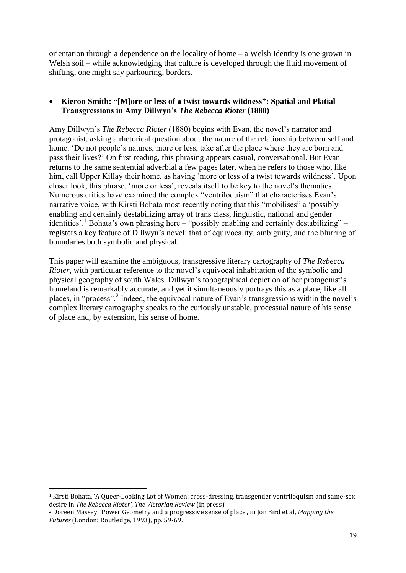orientation through a dependence on the locality of home – a Welsh Identity is one grown in Welsh soil – while acknowledging that culture is developed through the fluid movement of shifting, one might say parkouring, borders.

#### **Kieron Smith: "[M]ore or less of a twist towards wildness": Spatial and Platial Transgressions in Amy Dillwyn's** *The Rebecca Rioter* **(1880)**

Amy Dillwyn's *The Rebecca Rioter* (1880) begins with Evan, the novel's narrator and protagonist, asking a rhetorical question about the nature of the relationship between self and home. 'Do not people's natures, more or less, take after the place where they are born and pass their lives?' On first reading, this phrasing appears casual, conversational. But Evan returns to the same sentential adverbial a few pages later, when he refers to those who, like him, call Upper Killay their home, as having 'more or less of a twist towards wildness'. Upon closer look, this phrase, 'more or less', reveals itself to be key to the novel's thematics. Numerous critics have examined the complex "ventriloquism" that characterises Evan's narrative voice, with Kirsti Bohata most recently noting that this "mobilises" a 'possibly enabling and certainly destabilizing array of trans class, linguistic, national and gender identities'.<sup>1</sup> Bohata's own phrasing here – "possibly enabling and certainly destabilizing" – registers a key feature of Dillwyn's novel: that of equivocality, ambiguity, and the blurring of boundaries both symbolic and physical.

This paper will examine the ambiguous, transgressive literary cartography of *The Rebecca Rioter*, with particular reference to the novel's equivocal inhabitation of the symbolic and physical geography of south Wales. Dillwyn's topographical depiction of her protagonist's homeland is remarkably accurate, and yet it simultaneously portrays this as a place, like all places, in "process".<sup>2</sup> Indeed, the equivocal nature of Evan's transgressions within the novel's complex literary cartography speaks to the curiously unstable, processual nature of his sense of place and, by extension, his sense of home.

1

<sup>1</sup> Kirsti Bohata, 'A Queer-Looking Lot of Women: cross-dressing, transgender ventriloquism and same-sex desire in *The Rebecca Rioter', The Victorian Review* (in press)

<sup>2</sup> Doreen Massey, 'Power Geometry and a progressive sense of place', in Jon Bird et al, *Mapping the Futures* (London: Routledge, 1993), pp. 59-69.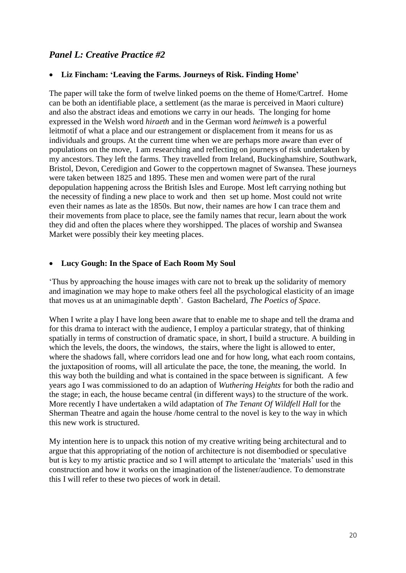# *Panel L: Creative Practice #2*

#### **Liz Fincham: 'Leaving the Farms. Journeys of Risk. Finding Home'**

The paper will take the form of twelve linked poems on the theme of Home/Cartref. Home can be both an identifiable place, a settlement (as the marae is perceived in Maori culture) and also the abstract ideas and emotions we carry in our heads. The longing for home expressed in the Welsh word *hiraeth* and in the German word *heimweh* is a powerful leitmotif of what a place and our estrangement or displacement from it means for us as individuals and groups. At the current time when we are perhaps more aware than ever of populations on the move, I am researching and reflecting on journeys of risk undertaken by my ancestors. They left the farms. They travelled from Ireland, Buckinghamshire, Southwark, Bristol, Devon, Ceredigion and Gower to the coppertown magnet of Swansea. These journeys were taken between 1825 and 1895. These men and women were part of the rural depopulation happening across the British Isles and Europe. Most left carrying nothing but the necessity of finding a new place to work and then set up home. Most could not write even their names as late as the 1850s. But now, their names are how I can trace them and their movements from place to place, see the family names that recur, learn about the work they did and often the places where they worshipped. The places of worship and Swansea Market were possibly their key meeting places.

#### **Lucy Gough: In the Space of Each Room My Soul**

'Thus by approaching the house images with care not to break up the solidarity of memory and imagination we may hope to make others feel all the psychological elasticity of an image that moves us at an unimaginable depth'. Gaston Bachelard, *The Poetics of Space*.

When I write a play I have long been aware that to enable me to shape and tell the drama and for this drama to interact with the audience, I employ a particular strategy, that of thinking spatially in terms of construction of dramatic space, in short, I build a structure. A building in which the levels, the doors, the windows, the stairs, where the light is allowed to enter, where the shadows fall, where corridors lead one and for how long, what each room contains, the juxtaposition of rooms, will all articulate the pace, the tone, the meaning, the world. In this way both the building and what is contained in the space between is significant. A few years ago I was commissioned to do an adaption of *Wuthering Heights* for both the radio and the stage; in each, the house became central (in different ways) to the structure of the work. More recently I have undertaken a wild adaptation of *The Tenant Of Wildfell Hall* for the Sherman Theatre and again the house /home central to the novel is key to the way in which this new work is structured.

My intention here is to unpack this notion of my creative writing being architectural and to argue that this appropriating of the notion of architecture is not disembodied or speculative but is key to my artistic practice and so I will attempt to articulate the 'materials' used in this construction and how it works on the imagination of the listener/audience. To demonstrate this I will refer to these two pieces of work in detail.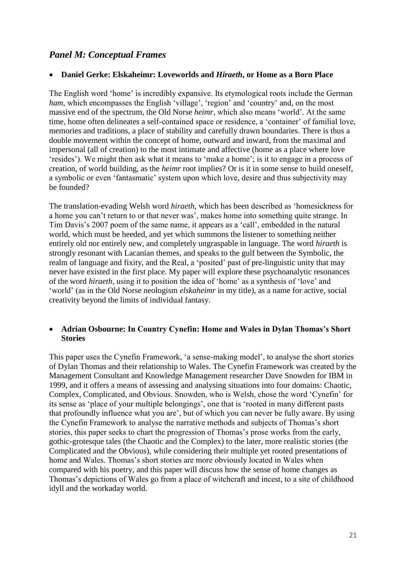# *Panel M: Conceptual Frames*

#### **Daniel Gerke: Elskaheimr: Loveworlds and** *Hiraeth***, or Home as a Born Place**

The English word 'home' is incredibly expansive. Its etymological roots include the German *ham*, which encompasses the English 'village', 'region' and 'country' and, on the most massive end of the spectrum, the Old Norse *heimr*, which also means 'world'. At the same time, home often delineates a self-contained space or residence, a 'container' of familial love, memories and traditions, a place of stability and carefully drawn boundaries. There is thus a double movement within the concept of home, outward and inward, from the maximal and impersonal (all of creation) to the most intimate and affective (home as a place where love 'resides'). We might then ask what it means to 'make a home'; is it to engage in a process of creation, of world building, as the *heimr* root implies? Or is it in some sense to build oneself, a symbolic or even 'fantasmatic' system upon which love, desire and thus subjectivity may be founded?

The translation-evading Welsh word *hiraeth*, which has been described as 'homesickness for a home you can't return to or that never was', makes home into something quite strange. In Tim Davis's 2007 poem of the same name, it appears as a 'call', embedded in the natural world, which must be heeded, and yet which summons the listener to something neither entirely old nor entirely new, and completely ungraspable in language. The word *hiraeth* is strongly resonant with Lacanian themes, and speaks to the gulf between the Symbolic, the realm of language and fixity, and the Real, a 'posited' past of pre-linguistic unity that may never have existed in the first place. My paper will explore these psychoanalytic resonances of the word *hiraeth*, using it to position the idea of 'home' as a synthesis of 'love' and 'world' (as in the Old Norse neologism *elskaheimr* in my title), as a name for active, social creativity beyond the limits of individual fantasy.

#### **Adrian Osbourne: In Country Cynefin: Home and Wales in Dylan Thomas's Short Stories**

This paper uses the Cynefin Framework, 'a sense-making model', to analyse the short stories of Dylan Thomas and their relationship to Wales. The Cynefin Framework was created by the Management Consultant and Knowledge Management researcher Dave Snowden for IBM in 1999, and it offers a means of assessing and analysing situations into four domains: Chaotic, Complex, Complicated, and Obvious. Snowden, who is Welsh, chose the word 'Cynefin' for its sense as 'place of your multiple belongings', one that is 'rooted in many different pasts that profoundly influence what you are', but of which you can never be fully aware. By using the Cynefin Framework to analyse the narrative methods and subjects of Thomas's short stories, this paper seeks to chart the progression of Thomas's prose works from the early, gothic-grotesque tales (the Chaotic and the Complex) to the later, more realistic stories (the Complicated and the Obvious), while considering their multiple yet rooted presentations of home and Wales. Thomas's short stories are more obviously located in Wales when compared with his poetry, and this paper will discuss how the sense of home changes as Thomas's depictions of Wales go from a place of witchcraft and incest, to a site of childhood idyll and the workaday world.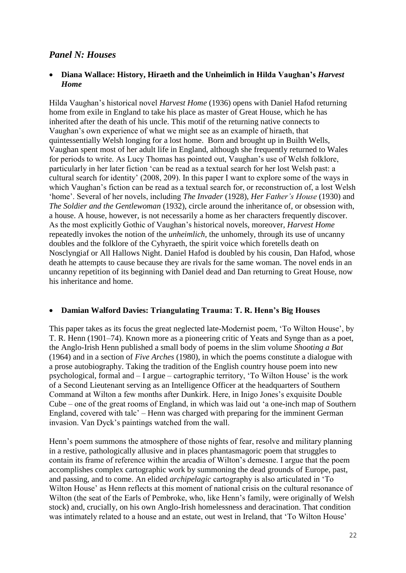# *Panel N: Houses*

#### **Diana Wallace: History, Hiraeth and the Unheimlich in Hilda Vaughan's** *Harvest Home*

Hilda Vaughan's historical novel *Harvest Home* (1936) opens with Daniel Hafod returning home from exile in England to take his place as master of Great House, which he has inherited after the death of his uncle. This motif of the returning native connects to Vaughan's own experience of what we might see as an example of hiraeth, that quintessentially Welsh longing for a lost home. Born and brought up in Builth Wells, Vaughan spent most of her adult life in England, although she frequently returned to Wales for periods to write. As Lucy Thomas has pointed out, Vaughan's use of Welsh folklore, particularly in her later fiction 'can be read as a textual search for her lost Welsh past: a cultural search for identity' (2008, 209). In this paper I want to explore some of the ways in which Vaughan's fiction can be read as a textual search for, or reconstruction of, a lost Welsh 'home'. Several of her novels, including *The Invader* (1928), *Her Father's House* (1930) and *The Soldier and the Gentlewoman* (1932), circle around the inheritance of, or obsession with, a house. A house, however, is not necessarily a home as her characters frequently discover. As the most explicitly Gothic of Vaughan's historical novels, moreover, *Harvest Home* repeatedly invokes the notion of the *unheimlich,* the unhomely, through its use of uncanny doubles and the folklore of the Cyhyraeth, the spirit voice which foretells death on Nosclyngiaf or All Hallows Night. Daniel Hafod is doubled by his cousin, Dan Hafod, whose death he attempts to cause because they are rivals for the same woman. The novel ends in an uncanny repetition of its beginning with Daniel dead and Dan returning to Great House, now his inheritance and home.

#### **Damian Walford Davies: Triangulating Trauma: T. R. Henn's Big Houses**

This paper takes as its focus the great neglected late-Modernist poem, 'To Wilton House', by T. R. Henn (1901–74). Known more as a pioneering critic of Yeats and Synge than as a poet, the Anglo-Irish Henn published a small body of poems in the slim volume *Shooting a Bat* (1964) and in a section of *Five Arches* (1980), in which the poems constitute a dialogue with a prose autobiography. Taking the tradition of the English country house poem into new psychological, formal and – I argue – cartographic territory, 'To Wilton House' is the work of a Second Lieutenant serving as an Intelligence Officer at the headquarters of Southern Command at Wilton a few months after Dunkirk. Here, in Inigo Jones's exquisite Double Cube – one of the great rooms of England, in which was laid out 'a one-inch map of Southern England, covered with talc' – Henn was charged with preparing for the imminent German invasion. Van Dyck's paintings watched from the wall.

Henn's poem summons the atmosphere of those nights of fear, resolve and military planning in a restive, pathologically allusive and in places phantasmagoric poem that struggles to contain its frame of reference within the arcadia of Wilton's demesne. I argue that the poem accomplishes complex cartographic work by summoning the dead grounds of Europe, past, and passing, and to come. An elided *archipelagic* cartography is also articulated in 'To Wilton House' as Henn reflects at this moment of national crisis on the cultural resonance of Wilton (the seat of the Earls of Pembroke, who, like Henn's family, were originally of Welsh stock) and, crucially, on his own Anglo-Irish homelessness and deracination. That condition was intimately related to a house and an estate, out west in Ireland, that 'To Wilton House'